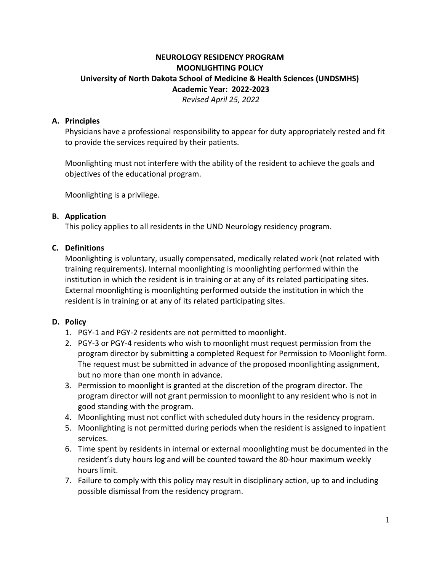# **NEUROLOGY RESIDENCY PROGRAM MOONLIGHTING POLICY University of North Dakota School of Medicine & Health Sciences (UNDSMHS) Academic Year: 2022-2023** *Revised April 25, 2022*

### **A. Principles**

Physicians have a professional responsibility to appear for duty appropriately rested and fit to provide the services required by their patients.

Moonlighting must not interfere with the ability of the resident to achieve the goals and objectives of the educational program.

Moonlighting is a privilege.

#### **B. Application**

This policy applies to all residents in the UND Neurology residency program.

### **C. Definitions**

Moonlighting is voluntary, usually compensated, medically related work (not related with training requirements). Internal moonlighting is moonlighting performed within the institution in which the resident is in training or at any of its related participating sites. External moonlighting is moonlighting performed outside the institution in which the resident is in training or at any of its related participating sites.

#### **D. Policy**

- 1. PGY-1 and PGY-2 residents are not permitted to moonlight.
- 2. PGY-3 or PGY-4 residents who wish to moonlight must request permission from the program director by submitting a completed Request for Permission to Moonlight form. The request must be submitted in advance of the proposed moonlighting assignment, but no more than one month in advance.
- 3. Permission to moonlight is granted at the discretion of the program director. The program director will not grant permission to moonlight to any resident who is not in good standing with the program.
- 4. Moonlighting must not conflict with scheduled duty hours in the residency program.
- 5. Moonlighting is not permitted during periods when the resident is assigned to inpatient services.
- 6. Time spent by residents in internal or external moonlighting must be documented in the resident's duty hours log and will be counted toward the 80-hour maximum weekly hours limit.
- 7. Failure to comply with this policy may result in disciplinary action, up to and including possible dismissal from the residency program.